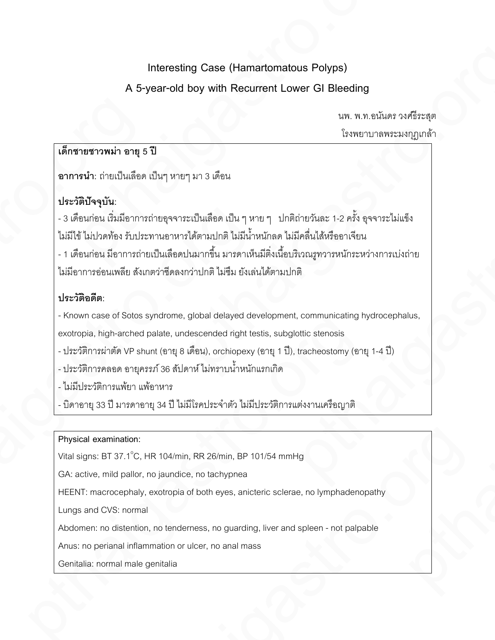# **Interesting Case (Hamartomatous Polyps) A 5-year-old boy with Recurrent Lower GI Bleeding**

นพ. พ.ท.อนันดร วงศ์ธีระสุต โรงพยาบาลพระมงกุฎเกล้า

## **เด็กชายชาวพม่า อายุ 5 ปี**

**อาการนํา:** ถ่ายเป็นเลือด เป็นๆ หายๆ มา 3 เดือน

## **ประวัติปัจจุบัน:**

-3 เดือนก่อน เริ่มมีอาการถ่ายอุจจาระเป็นเลือด เป็น ๆ หาย ๆ ปกติถ่ายวันละ 1-2 ครั้งอุจจาระไม่แข็ง ไม่มีไข้ ไม่ปวดท้อง รับประทานอาหารได้ตามปกติ ไม่มีนํ้าหนักลด ไม่มีคลื่นไส้หรืออาเจียน -1 เดือนก่อน มีอาการถ่ายเป็นเลือดปนมากขึ้น มารดาเห็นมีติ่งเนื้อบริเวณรูทวารหนักระหว่างการเบ่งถ่าย ไม่มีอาการอ่อนเพลีย สังเกตว่าซีดลงกว่าปกติ ไม่ซึม ยังเล่นได้ตามปกติ .<br>- เด็กชายชาวพม่า อายุ 5 วิ<br>อาการนำ: ถ่ายเป็นเลือด เ<br>- 3 เดือนก่อน เริ่มมีอาการถ่ายเ<br>- 3 เดือนก่อน เริ่มมีอาการถ่ายเ<br>- 1 เดือนก่อน มีอาการถ่ายเ<br>- 1 เมื่อกการอ่อนเพลีย สังเกต<br>- Hระวัติอดีต:<br>- Known case of Sotos sy<br>exotro Interesting Case (Hamartomatous Polyps)<br>
A 5-year-old boy with Recurrent Lower GI Bleeding<br>
Law is a state of the Sylven-Case of the Sylven Case of the Sylven Case of the Sylven Case of the Sylven Case of the Sylven Case - 3 เดือนก่อน เริ่มมีอาการถ่ายอุจจาระเป็นเลือด เป็น ๆ หาะ<br>
1 เดือนก่อน เริ่มมีอาการถ่ายอาหารได้ตามปกติ ไม่มีน้ำห<br>
- 1 เดือนก่อน มีอาการถ่ายเป็นเลือดปนมากขึ้น มารดาเห็น<br>
1<br>ม่มีอาการอ่อนเพลีย สังเกตว่าชืดลงกว่าปกติ ไม่ขึ้ม Interesting Case (Hamatomatous Polyps)<br>
A 5-year-old boy with Recurrent Lower GI Bleading<br>  $\frac{1}{2}$ . An.us/server African Strongham (1987)<br>
Will be the contract the contract of the contract of the contract of the contrac ายเป็นเดือด เป็นๆ เทาๆ มา 3 เพื่อน<br>เสน้นเดือด เป็นๆ เทาๆ มา 3 เพื่อน<br>เน้นอีกคากหน่ายทุจจากระเป็นเลือด เป็น ๆ หาย ๆ - น่าดีผ่ายกับคะ 1-2 คลั้ง คุจจากระโน่เจื้อ<br>หรือ ถ้าเปราพานความให้ครบนิการขึ้น มากลายในมีสิ่งในที่เกิด ไม่

## **ประวัติอดีต:**

- Known case of Sotos syndrome, global delayed development, communicating hydrocephalus, exotropia, high-arched palate, undescended right testis, subglottic stenosis ontoriola, high-arante, global diaryod development, communicating ny<br>exterption high-aranted palate, undescended right testis, subglottic stenosis<br>-1/27} mmaname απραστή 36 δίμοποί λοιπορίους (9014 1 1), tracheostomy (901 ไม่ทีม ยังเล่นได้ตามปกติ<br>delayed development, communicating hydrocephalus,<br>ded right testis, subglottic stenosis<br>orchiopexy (enq 1 ปี), trachectomy (enq 1-4 ปี)<br>หานน้ำหนักแรกเกิด<br>s\*nตัว ไม่มีประวัติการแต่งงานเครื่อญาติ<br>Sm

- ประวัติการผ่าตัด VP shunt (อายุ 8 เดือน), orchiopexy (อายุ 1 ปี), tracheostomy (อายุ 1-4 ปี)

- ประวัติการคลอด อายุครรภ์ 36 สัปดาห์ ไม่ทราบนํ้าหนักแรกเกิด

- ไม่มีประวัติการแพ้ยา แพ้อาหาร

- บิดาอายุ33 ปี มารดาอายุ34 ปี ไม่มีโรคประจําตัว ไม่มีประวัติการแต่งงานเครือญาติ

## **Physical examination:**

Vital signs: BT 37.1 $^{\circ}$ C, HR 104/min, RR 26/min, BP 101/54 mmHg

GA: active, mild pallor, no jaundice, no tachypnea

HEENT: macrocephaly, exotropia of both eyes, anicteric sclerae, no lymphadenopathy Pharmachy, RR 26/min, BP 101/54 mmHg<br>pthaigastron, and ally, exotropia of both eyes, anicteric sclerae, no lymphadenopathy<br>hall<br>ion, no tendemess, no guarding, liver and spleen - not palpable<br>ammation or ulcer, no anal mas

Lungs and CVS: normal

Abdomen: no distention, no tenderness, no guarding, liver and spleen - not palpable

Anus: no perianal inflammation or ulcer, no anal mass

Genitalia: normal male genitalia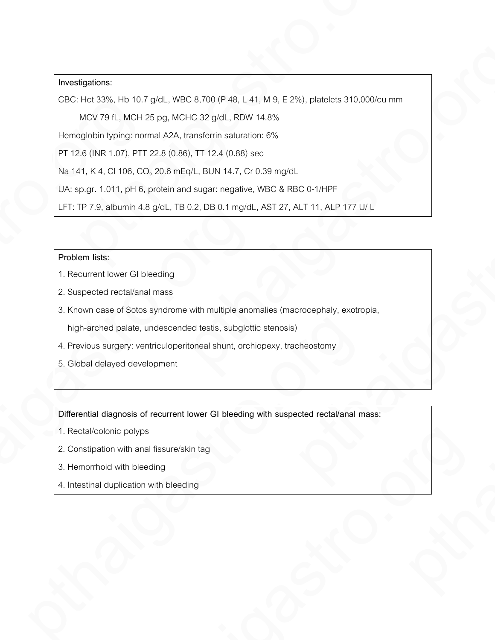### **Investigations:**

CBC: Hct 33%, Hb 10.7 g/dL, WBC 8,700(P 48, L 41, M 9, E 2%), platelets 310,000/cu mm **Example 10**<br> **Propositions:**<br>
CBC Interasts, its inc.r gratt, webC 8,700 (P 48, L 41, M 9, L 2%), stateles 310,000/cumm<br>
McW 79 L, MCH 25 pg, McM-C 32 gict, RDW 44.8,<br>
Principle on typing: normal A/A, transferro saturati **Investigation:**<br>
DCC Hzi 335, Hz 10.7 pML, VAD 3.700 (P-49, H-41, M,0, F 2%), paindres 310,000/ca mm<br>
MDV 79 H, VCP 25 sg, VCP 0.30 god, 100V 14.8%<br>
H 12 G PRIC Con, 11 (25 G PRO) H 12 41 (0.000 sec.<br>
H 12 G PRIC Con, 11

MCV 79 fL, MCH 25 pg, MCHC 32 g/dL, RDW 14.8%

Hemoglobin typing: normal A2A, transferrin saturation: 6%

PT 12.6 (INR 1.07), PTT 22.8 (0.86), TT 12.4 (0.88) sec

Na 141, K 4, Cl 106, CO<sub>2</sub> 20.6 mEq/L, BUN 14.7, Cr 0.39 mg/dL

UA: sp.gr. 1.011, pH 6, protein and sugar: negative, WBC & RBC 0-1/HPF

LFT: TP 7.9, albumin 4.8 g/dL, TB 0.2, DB 0.1 mg/dL, AST 27, ALT 11, ALP 177 U/ L

#### **Problem lists:**

- 1. Recurrent lower GI bleeding
- 2. Suspected rectal/anal mass
- 3. Known case of Sotos syndrome with multiple anomalies (macrocephaly, exotropia, CBC: Hct 33%, Hb 10.7<br>
MCV 79 fL, MCH 25<br>
Hemoglobin typing: norm<br>
PT 12.6 (INR 1.07), PTT 2<br>
Na 141, K 4, Cl 106, CO<sub>2</sub><br>
UA: sp.gr. 1.011, pH 6, p<br>
LFT: TP 7.9, albumin 4.8<br>
Problem lists:<br>
1. Recurrent lower GI ble<br>
2. S Problem lists:<br>
1. Recurrent lower GI bleeding<br>
2. Suspected rectal/anal mass<br>
3. Known case of Sotos syndrome with multiple anoma<br>
high-arched palate, undescended testis, subglottic<br>
4. Previous surgery: ventriculoperiton (c) trips, CO<sub>2</sub> 20.6 m-Fig4.1, BUN 14.7, Cr cl 399 mg/dl<br>
(c) trips, CO<sub>2</sub> 20.6 m-Fig4.1, BUN 14.7, Cr cl 39 mg/dl<br>
(d) the B increase the superconsplays, WBC & BBC 0-1:HPF<br>
athermin 4.8 g/dl , TB 0.2, DB 0.1 mg/dl , AST pthaigastro.org

high-arched palate, undescended testis, subglottic stenosis)

- 4. Previous surgery: ventriculoperitoneal shunt, orchiopexy, tracheostomy
- 5. Global delayed development

**Differential diagnosis of recurrent lower GI bleeding with suspected rectal/anal mass:** high-arched palate, undescended testis, subglottic stenosis)<br>
4. Previous surgery: ventriculoperitoneal shunt, orchiopexy, tracheostomy<br>
5. Global delayed development<br>
Differential diagnosis of recurrent lower GI bleeding

- 1. Rectal/colonic polyps
- 2. Constipation with anal fissure/skin tag ps<br>anal fissure/skin tag<br>leeding<br>on with bleeding<br>and the beading<br>that is a control of the bleeding<br>and the beading
- 3. Hemorrhoid with bleeding
- 4. Intestinal duplication with bleeding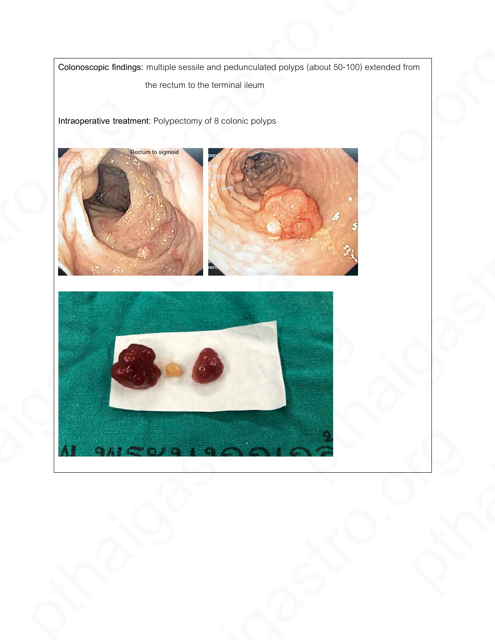**Colonoscopic findings:** multiple sessile and pedunculated polyps (about 50-100) extended from the rectum to the terminal ileum

**Intraoperative treatment**: Polypectomy of 8 colonic polyps





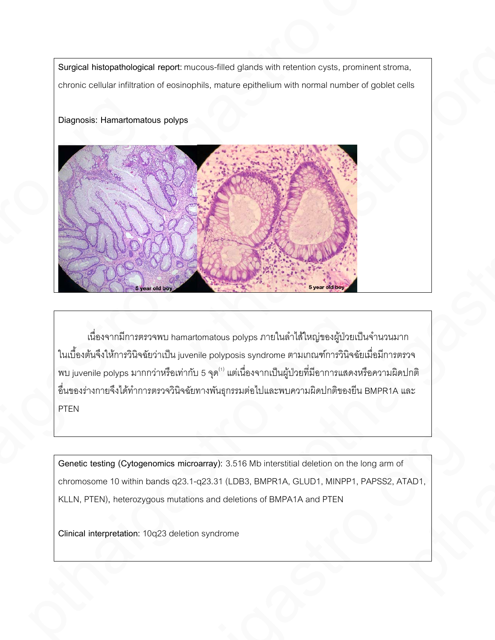**Surgical histopathological report:** mucous-filled glands with retention cysts, prominent stroma, chronic cellular infiltration of eosinophils, mature epithelium with normal number of goblet cells

### **Diagnosis: Hamartomatous polyps**



เนื่องจากมีการตรวจพบ hamartomatous polyps ภายในลำไส้ใหญ่ของผู้ป่วยเป็นจำนวนมาก ในเบื้องต้นจึงให้การวินิจฉัยว่าเป็น juvenile polyposis syndrome ตามเกณฑ์การวินิจฉัยเมื่อมีการตรวจ พบ juvenile polyps มากกว่าหรือเท่ากับ 5 จุด(1)แต่เนื่องจากเป็นผู้ป่ วยที่มีอาการแสดงหรือความผิดปกติ อื่นของร่างกายจึงได้ทําการตรวจวินิจฉัยทางพันธุกรรมต่อไปและพบความผิดปกติของยีน BMPR1A และ PTEN เนื่องจากมีการตนวงพบ hamartomatous polype ภายในดำได้ใหญ่ของผู้ป่วยเป็นจำไนเบื้องต้นจึงให้การรินิจฉัยเมื่อแบบคุณเของyposis syndrome ตามเกณฑ์การรินิจฉัยเมื่อ<br>wu juvenile polyps มากกว่าหรือเท่ากับ 5 จุด<sup>()</sup> แต่เนื่องจากเป็น pthaigastro.org/with the space of the space of the space of the space of the space of the space of the space of the space of the space of the space of the space of the space of the space of the space of the space of the s

**Genetic testing (Cytogenomics microarray):** 3.516 Mb interstitial deletion on the long arm of chromosome 10 within bands q23.1-q23.31 (LDB3, BMPR1A, GLUD1, MINPP1, PAPSS2, ATAD1, KLLN, PTEN)**,** heterozygous mutations and deletions of BMPA1A and PTEN genomics microarray): 3.516 Mb interstitial deletion on the long arm of<br>in bands q23.1-q23.31 (LDB3, BMPR1A, GLUD1, MINPP1, PAPSS2, ATAD1,<br>zygous mutations and deletions of BMPA1A and PTEN<br>: 10q23 deletion syndrome

**Clinical interpretation:** 10q23 deletion syndrome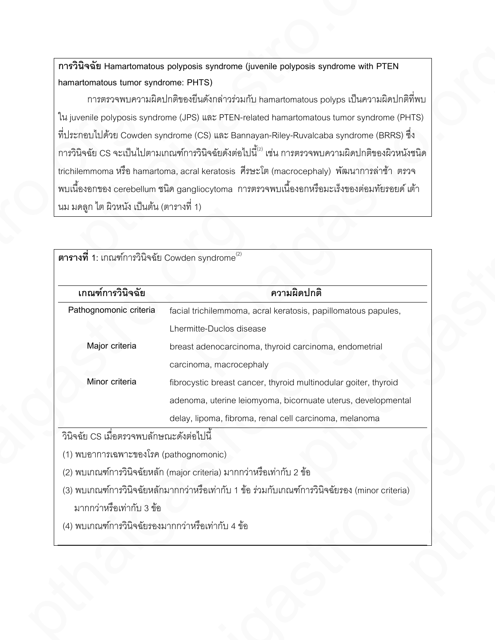| การวินิจฉัย Hamartomatous polyposis syndrome (juvenile polyposis syndrome with PTEN<br>hamartomatous tumor syndrome: PHTS)<br>การตรวจพบความผิดปกติของยีนดังกล่าวร่วมกับ hamartomatous polyps เป็นความผิดปกติที่พบ<br>ใน juvenile polyposis syndrome (JPS) และ PTEN-related hamartomatous tumor syndrome (PHTS)<br>ที่ประกอบไปด้วย Cowden syndrome (CS) และ Bannayan-Riley-Ruvalcaba syndrome (BRRS) ซึ่ง<br>ิ การวินิจฉัย CS จะเป็นไปตามเกณฑ์การวินิจฉัยดังต่อไปนี้ <sup>(2)</sup> เช่น การตรวจพบความผิดปกติของผิวหนังชนิด<br>trichilemmoma หรือ hamartoma, acral keratosis ศีรษะโต (macrocephaly) พัฒนาการล่าช้า ตรวจ<br>ิ พบเนื้องอกของ cerebellum ชนิด gangliocytoma  การตรวจพบเนื้องอกหรือมะเร็งของต่อมทัยรอยด์ เต้า<br>นม มดลูก ไต ผิวหนัง เป็นต้น (ตารางที่ 1)<br>ตารางที่ 1: เกณฑ์การวินิจฉัย Cowden syndrome $^{(2)}$<br>เกณฑ์การวินิจฉัย<br>ความผิดปกติ<br>Pathognomonic criteria<br>facial trichilemmoma, acral keratosis, papillomatous papules,<br>Lhermitte-Duclos disease<br>Major criteria<br>breast adenocarcinoma, thyroid carcinoma, endometrial<br>carcinoma, macrocephaly<br>Minor criteria<br>fibrocystic breast cancer, thyroid multinodular goiter, thyroid<br>adenoma, uterine leiomyoma, bicornuate uterus, developmental<br>delay, lipoma, fibroma, renal cell carcinoma, melanoma<br>้วินิจฉัย CS เมื่อตรวจพบลักษณะดังต่อไปนี้<br>(1) พบอาการเฉพาะของโรค (pathognomonic)<br>(2) พบเกณฑ์การวินิจฉัยหลัก (major criteria) มากกว่าหรือเท่ากับ 2 ข้อ<br>(3) พบเกณฑ์การวินิจฉัยหลักมากกว่าหรือเท่ากับ 1 ข้อ ร่วมกับเกณฑ์การวินิจฉัยรอง (minor criteria)<br>มากกว่าหรือเท่ากับ 3 ข้อ<br>(4) พบเกณฑ์การวินิจฉัยรองมากกว่าหรือเท่ากับ 4 ข้อ |  |
|----------------------------------------------------------------------------------------------------------------------------------------------------------------------------------------------------------------------------------------------------------------------------------------------------------------------------------------------------------------------------------------------------------------------------------------------------------------------------------------------------------------------------------------------------------------------------------------------------------------------------------------------------------------------------------------------------------------------------------------------------------------------------------------------------------------------------------------------------------------------------------------------------------------------------------------------------------------------------------------------------------------------------------------------------------------------------------------------------------------------------------------------------------------------------------------------------------------------------------------------------------------------------------------------------------------------------------------------------------------------------------------------------------------------------------------------------------------------------------------------------------------------------------------------------------------------------------------------------------------------------------------------------------------|--|
|                                                                                                                                                                                                                                                                                                                                                                                                                                                                                                                                                                                                                                                                                                                                                                                                                                                                                                                                                                                                                                                                                                                                                                                                                                                                                                                                                                                                                                                                                                                                                                                                                                                                |  |
|                                                                                                                                                                                                                                                                                                                                                                                                                                                                                                                                                                                                                                                                                                                                                                                                                                                                                                                                                                                                                                                                                                                                                                                                                                                                                                                                                                                                                                                                                                                                                                                                                                                                |  |
|                                                                                                                                                                                                                                                                                                                                                                                                                                                                                                                                                                                                                                                                                                                                                                                                                                                                                                                                                                                                                                                                                                                                                                                                                                                                                                                                                                                                                                                                                                                                                                                                                                                                |  |
|                                                                                                                                                                                                                                                                                                                                                                                                                                                                                                                                                                                                                                                                                                                                                                                                                                                                                                                                                                                                                                                                                                                                                                                                                                                                                                                                                                                                                                                                                                                                                                                                                                                                |  |
|                                                                                                                                                                                                                                                                                                                                                                                                                                                                                                                                                                                                                                                                                                                                                                                                                                                                                                                                                                                                                                                                                                                                                                                                                                                                                                                                                                                                                                                                                                                                                                                                                                                                |  |
|                                                                                                                                                                                                                                                                                                                                                                                                                                                                                                                                                                                                                                                                                                                                                                                                                                                                                                                                                                                                                                                                                                                                                                                                                                                                                                                                                                                                                                                                                                                                                                                                                                                                |  |
|                                                                                                                                                                                                                                                                                                                                                                                                                                                                                                                                                                                                                                                                                                                                                                                                                                                                                                                                                                                                                                                                                                                                                                                                                                                                                                                                                                                                                                                                                                                                                                                                                                                                |  |
|                                                                                                                                                                                                                                                                                                                                                                                                                                                                                                                                                                                                                                                                                                                                                                                                                                                                                                                                                                                                                                                                                                                                                                                                                                                                                                                                                                                                                                                                                                                                                                                                                                                                |  |
|                                                                                                                                                                                                                                                                                                                                                                                                                                                                                                                                                                                                                                                                                                                                                                                                                                                                                                                                                                                                                                                                                                                                                                                                                                                                                                                                                                                                                                                                                                                                                                                                                                                                |  |
|                                                                                                                                                                                                                                                                                                                                                                                                                                                                                                                                                                                                                                                                                                                                                                                                                                                                                                                                                                                                                                                                                                                                                                                                                                                                                                                                                                                                                                                                                                                                                                                                                                                                |  |
|                                                                                                                                                                                                                                                                                                                                                                                                                                                                                                                                                                                                                                                                                                                                                                                                                                                                                                                                                                                                                                                                                                                                                                                                                                                                                                                                                                                                                                                                                                                                                                                                                                                                |  |
|                                                                                                                                                                                                                                                                                                                                                                                                                                                                                                                                                                                                                                                                                                                                                                                                                                                                                                                                                                                                                                                                                                                                                                                                                                                                                                                                                                                                                                                                                                                                                                                                                                                                |  |
|                                                                                                                                                                                                                                                                                                                                                                                                                                                                                                                                                                                                                                                                                                                                                                                                                                                                                                                                                                                                                                                                                                                                                                                                                                                                                                                                                                                                                                                                                                                                                                                                                                                                |  |
|                                                                                                                                                                                                                                                                                                                                                                                                                                                                                                                                                                                                                                                                                                                                                                                                                                                                                                                                                                                                                                                                                                                                                                                                                                                                                                                                                                                                                                                                                                                                                                                                                                                                |  |
|                                                                                                                                                                                                                                                                                                                                                                                                                                                                                                                                                                                                                                                                                                                                                                                                                                                                                                                                                                                                                                                                                                                                                                                                                                                                                                                                                                                                                                                                                                                                                                                                                                                                |  |
|                                                                                                                                                                                                                                                                                                                                                                                                                                                                                                                                                                                                                                                                                                                                                                                                                                                                                                                                                                                                                                                                                                                                                                                                                                                                                                                                                                                                                                                                                                                                                                                                                                                                |  |
|                                                                                                                                                                                                                                                                                                                                                                                                                                                                                                                                                                                                                                                                                                                                                                                                                                                                                                                                                                                                                                                                                                                                                                                                                                                                                                                                                                                                                                                                                                                                                                                                                                                                |  |
|                                                                                                                                                                                                                                                                                                                                                                                                                                                                                                                                                                                                                                                                                                                                                                                                                                                                                                                                                                                                                                                                                                                                                                                                                                                                                                                                                                                                                                                                                                                                                                                                                                                                |  |
|                                                                                                                                                                                                                                                                                                                                                                                                                                                                                                                                                                                                                                                                                                                                                                                                                                                                                                                                                                                                                                                                                                                                                                                                                                                                                                                                                                                                                                                                                                                                                                                                                                                                |  |
|                                                                                                                                                                                                                                                                                                                                                                                                                                                                                                                                                                                                                                                                                                                                                                                                                                                                                                                                                                                                                                                                                                                                                                                                                                                                                                                                                                                                                                                                                                                                                                                                                                                                |  |
|                                                                                                                                                                                                                                                                                                                                                                                                                                                                                                                                                                                                                                                                                                                                                                                                                                                                                                                                                                                                                                                                                                                                                                                                                                                                                                                                                                                                                                                                                                                                                                                                                                                                |  |
|                                                                                                                                                                                                                                                                                                                                                                                                                                                                                                                                                                                                                                                                                                                                                                                                                                                                                                                                                                                                                                                                                                                                                                                                                                                                                                                                                                                                                                                                                                                                                                                                                                                                |  |
|                                                                                                                                                                                                                                                                                                                                                                                                                                                                                                                                                                                                                                                                                                                                                                                                                                                                                                                                                                                                                                                                                                                                                                                                                                                                                                                                                                                                                                                                                                                                                                                                                                                                |  |
|                                                                                                                                                                                                                                                                                                                                                                                                                                                                                                                                                                                                                                                                                                                                                                                                                                                                                                                                                                                                                                                                                                                                                                                                                                                                                                                                                                                                                                                                                                                                                                                                                                                                |  |
|                                                                                                                                                                                                                                                                                                                                                                                                                                                                                                                                                                                                                                                                                                                                                                                                                                                                                                                                                                                                                                                                                                                                                                                                                                                                                                                                                                                                                                                                                                                                                                                                                                                                |  |
|                                                                                                                                                                                                                                                                                                                                                                                                                                                                                                                                                                                                                                                                                                                                                                                                                                                                                                                                                                                                                                                                                                                                                                                                                                                                                                                                                                                                                                                                                                                                                                                                                                                                |  |
|                                                                                                                                                                                                                                                                                                                                                                                                                                                                                                                                                                                                                                                                                                                                                                                                                                                                                                                                                                                                                                                                                                                                                                                                                                                                                                                                                                                                                                                                                                                                                                                                                                                                |  |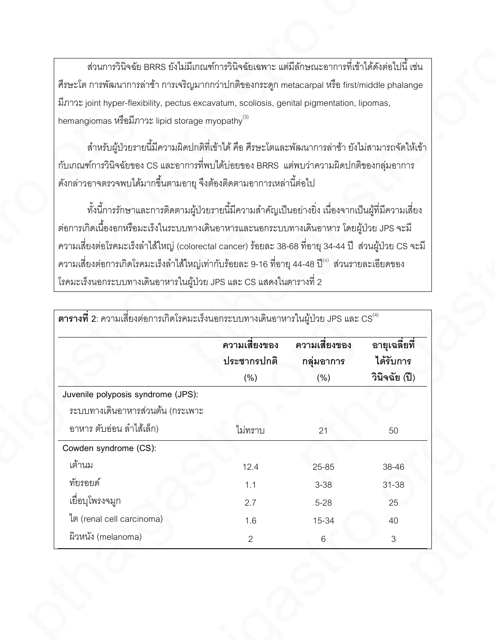| ้ ส่วนการวินิจฉัย BRRS ยังไม่มีเกณฑ์การวินิจฉัยเฉพาะ แต่มีลักษณะอาการที่เข้าได้ดังต่อไปนี้ เช่น              |                       |               |                       |
|--------------------------------------------------------------------------------------------------------------|-----------------------|---------------|-----------------------|
| ้ ศีรษะโต การพัฒนาการล่าช้า การเจริญมากกว่าปกติของกระดูก metacarpal หรือ first/middle phalange               |                       |               |                       |
| มีภาวะ joint hyper-flexibility, pectus excavatum, scoliosis, genital pigmentation, lipomas,                  |                       |               |                       |
| hemangiomas หรือมีภาวะ lipid storage myopathy <sup>(3)</sup>                                                 |                       |               |                       |
| ้ สำหรับผู้ป่วยรายนี้มีความผิดปกติที่เข้าได้ คือ ศีรษะโตและพัฒนาการล่าช้า ยังไม่สามารถจัดให้เข้า             |                       |               |                       |
| ้ กับเกณฑ์การวินิจฉัยของ CS และอาการที่พบได้บ่อยของ BRRS  แต่พบว่าความผิดปกติของกลุ่มอาการ                   |                       |               |                       |
| ดังกล่าวอาจตรวจพบได้มากขึ้นตามอายุ จึงต้องติดตามอาการเหล่านี้ต่อไป                                           |                       |               |                       |
| ทั้งนี้การรักษาและการติดตามผู้ป่วยรายนี้มีความสำคัญเป็นอย่างยิ่ง เนื่องจากเป็นผู้ที่มีความเสี่ยง             |                       |               |                       |
| ต่อการเกิดเนื้องอกหรือมะเร็งในระบบทางเดินอาหารและนอกระบบทางเดินอาหาร โดยผู้ป่วย JPS จะมี                     |                       |               |                       |
| ี ความเสี่ยงต่อโรคมะเร็งลำไส้ใหญ่ (colorectal cancer) ร้อยละ 38-68 ที่อายุ 34-44 ปี  ส่วนผู้ป่วย CS จะมี     |                       |               |                       |
| ี ความเสี่ยงต่อการเกิดโรคมะเร็งลำไส้ใหญ่เท่ากับร้อยละ 9-16 ที่อายุ 44-48 ปี <sup>(4)</sup> ส่วนรายละเอียดของ |                       |               |                       |
| โรคมะเร็งนอกระบบทางเดินอาหารในผู้ป่วย JPS และ CS แสดงในตารางที่ 2                                            |                       |               |                       |
|                                                                                                              |                       |               |                       |
| $\,$ ตารางที่ 2: ความเสี่ยงต่อการเกิดโรคมะเร็งนอกระบบทางเดินอาหารในผู้ป่วย JPS และ $\text{CS}^{^{(4)}}$      |                       |               |                       |
|                                                                                                              |                       |               |                       |
|                                                                                                              | ความเสี่ยงของ         | ความเสี่ยงของ | อายุเฉลี่ยที่         |
|                                                                                                              | ประชากรปกติ           | กลุ่มอาการ    | ได้รับการ             |
|                                                                                                              | (% )                  | (% )          | วินิจฉัย (ปี)         |
| Juvenile polyposis syndrome (JPS):                                                                           |                       |               |                       |
| ระบบทางเดินอาหารส่วนต้น (กระเพาะ                                                                             |                       |               |                       |
| อาหาร ตับอ่อน ลำไส้เล็ก)                                                                                     | ไม่ทราบ               | 21            | 50                    |
| Cowden syndrome (CS):                                                                                        |                       |               |                       |
| เต้านม                                                                                                       | 12.4                  | $25 - 85$     | 38-46                 |
| ทัยรอยด์                                                                                                     | 1.1                   | $3 - 38$      | 31-38                 |
| เยื่อบุโพรงจมูก                                                                                              | 2.7                   | $5 - 28$      | 25                    |
| ใต (renal cell carcinoma)<br>ผิวหนัง (melanoma)                                                              | 1.6<br>$\overline{2}$ | 15-34<br>6    | 40<br>$3\phantom{.0}$ |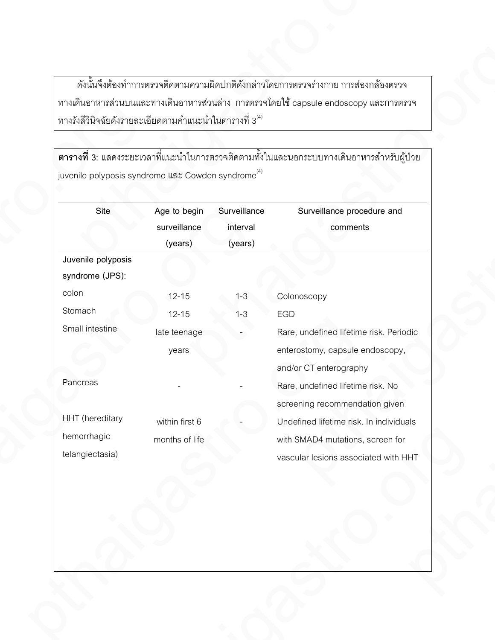|                        |                    |                                                                            |                                     | ดังนั้นจึงต้องทำการตรวจติดตามความผิดปกติดังกล่าวโดยการตรวจร่างกาย การส่องกล้องตรวจ                 |
|------------------------|--------------------|----------------------------------------------------------------------------|-------------------------------------|----------------------------------------------------------------------------------------------------|
|                        |                    | ทางรังสีวินิจฉัยดังรายละเอียดตามคำแนะนำในตารางที่ 3 $^{\text{\tiny{(4)}}}$ |                                     | ทางเดินอาหารส่วนบนและทางเดินอาหารส่วนล่าง การตรวจโดยใช้ capsule endoscopy และการตรวจ               |
|                        |                    |                                                                            |                                     |                                                                                                    |
|                        |                    | juvenile polyposis syndrome และ Cowden syndrome <sup>(4)</sup>             |                                     | <b>่ ตารางที่ 3</b> : แสดงระยะเวลาที่แนะนำในการตรวจติดตามทั้งในและนอกระบบทางเดินอาหารลำหรับผู้ป่วย |
|                        | Site               | Age to begin<br>surveillance<br>(years)                                    | Surveillance<br>interval<br>(years) | Surveillance procedure and<br>comments                                                             |
|                        | Juvenile polyposis |                                                                            |                                     |                                                                                                    |
|                        | syndrome (JPS):    |                                                                            |                                     |                                                                                                    |
| colon                  |                    | $12 - 15$                                                                  | $1 - 3$                             | Colonoscopy                                                                                        |
| Stomach                |                    | $12 - 15$                                                                  | $1 - 3$                             | EGD                                                                                                |
| Small intestine        |                    | late teenage                                                               | $\overline{\phantom{a}}$            | Rare, undefined lifetime risk. Periodic                                                            |
|                        |                    | years                                                                      |                                     | enterostomy, capsule endoscopy,                                                                    |
|                        |                    |                                                                            |                                     | and/or CT enterography                                                                             |
| Pancreas               |                    |                                                                            |                                     | Rare, undefined lifetime risk. No                                                                  |
|                        |                    |                                                                            |                                     | screening recommendation given                                                                     |
| <b>HHT</b> (hereditary |                    | within first 6                                                             |                                     | Undefined lifetime risk. In individuals                                                            |
| hemorrhagic            |                    | months of life                                                             |                                     | with SMAD4 mutations, screen for                                                                   |
| telangiectasia)        |                    |                                                                            |                                     | vascular lesions associated with HHT                                                               |
|                        |                    |                                                                            |                                     |                                                                                                    |